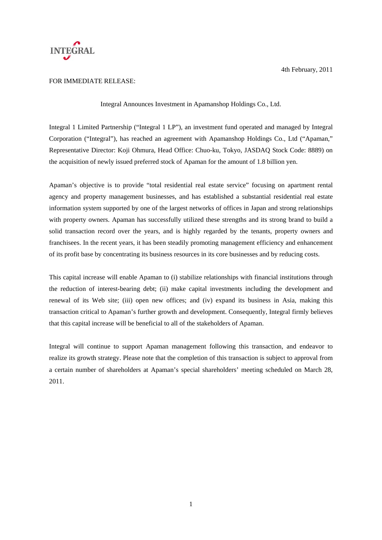

4th February, 2011

## FOR IMMEDIATE RELEASE:

Integral Announces Investment in Apamanshop Holdings Co., Ltd.

Integral 1 Limited Partnership ("Integral 1 LP"), an investment fund operated and managed by Integral Corporation ("Integral"), has reached an agreement with Apamanshop Holdings Co., Ltd ("Apaman," Representative Director: Koji Ohmura, Head Office: Chuo-ku, Tokyo, JASDAQ Stock Code: 8889) on the acquisition of newly issued preferred stock of Apaman for the amount of 1.8 billion yen.

Apaman's objective is to provide "total residential real estate service" focusing on apartment rental agency and property management businesses, and has established a substantial residential real estate information system supported by one of the largest networks of offices in Japan and strong relationships with property owners. Apaman has successfully utilized these strengths and its strong brand to build a solid transaction record over the years, and is highly regarded by the tenants, property owners and franchisees. In the recent years, it has been steadily promoting management efficiency and enhancement of its profit base by concentrating its business resources in its core businesses and by reducing costs.

This capital increase will enable Apaman to (i) stabilize relationships with financial institutions through the reduction of interest-bearing debt; (ii) make capital investments including the development and renewal of its Web site; (iii) open new offices; and (iv) expand its business in Asia, making this transaction critical to Apaman's further growth and development. Consequently, Integral firmly believes that this capital increase will be beneficial to all of the stakeholders of Apaman.

Integral will continue to support Apaman management following this transaction, and endeavor to realize its growth strategy. Please note that the completion of this transaction is subject to approval from a certain number of shareholders at Apaman's special shareholders' meeting scheduled on March 28, 2011.